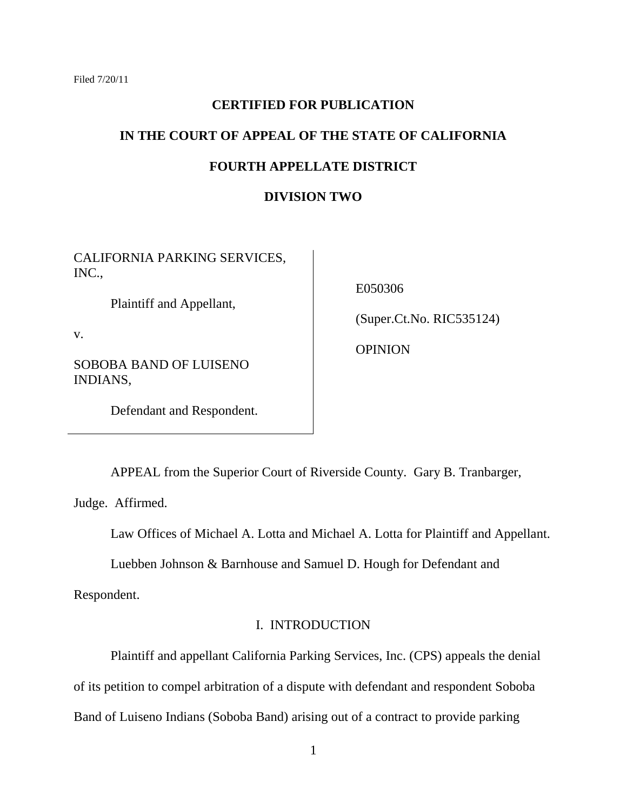#### **CERTIFIED FOR PUBLICATION**

# **IN THE COURT OF APPEAL OF THE STATE OF CALIFORNIA**

## **FOURTH APPELLATE DISTRICT**

#### **DIVISION TWO**

CALIFORNIA PARKING SERVICES, INC.,

Plaintiff and Appellant,

v.

SOBOBA BAND OF LUISENO INDIANS,

E050306

(Super.Ct.No. RIC535124)

**OPINION** 

Defendant and Respondent.

APPEAL from the Superior Court of Riverside County. Gary B. Tranbarger,

Judge. Affirmed.

Law Offices of Michael A. Lotta and Michael A. Lotta for Plaintiff and Appellant.

Luebben Johnson & Barnhouse and Samuel D. Hough for Defendant and

Respondent.

# I. INTRODUCTION

Plaintiff and appellant California Parking Services, Inc. (CPS) appeals the denial of its petition to compel arbitration of a dispute with defendant and respondent Soboba Band of Luiseno Indians (Soboba Band) arising out of a contract to provide parking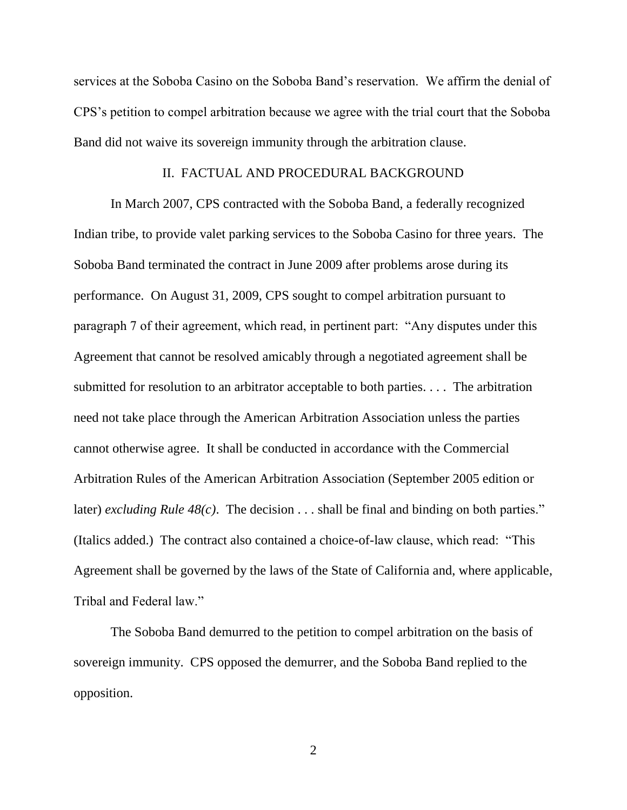services at the Soboba Casino on the Soboba Band"s reservation. We affirm the denial of CPS"s petition to compel arbitration because we agree with the trial court that the Soboba Band did not waive its sovereign immunity through the arbitration clause.

#### II. FACTUAL AND PROCEDURAL BACKGROUND

In March 2007, CPS contracted with the Soboba Band, a federally recognized Indian tribe, to provide valet parking services to the Soboba Casino for three years. The Soboba Band terminated the contract in June 2009 after problems arose during its performance. On August 31, 2009, CPS sought to compel arbitration pursuant to paragraph 7 of their agreement, which read, in pertinent part: "Any disputes under this Agreement that cannot be resolved amicably through a negotiated agreement shall be submitted for resolution to an arbitrator acceptable to both parties. . . . The arbitration need not take place through the American Arbitration Association unless the parties cannot otherwise agree. It shall be conducted in accordance with the Commercial Arbitration Rules of the American Arbitration Association (September 2005 edition or later) *excluding Rule 48(c)*. The decision . . . shall be final and binding on both parties." (Italics added.) The contract also contained a choice-of-law clause, which read: "This Agreement shall be governed by the laws of the State of California and, where applicable, Tribal and Federal law."

The Soboba Band demurred to the petition to compel arbitration on the basis of sovereign immunity. CPS opposed the demurrer, and the Soboba Band replied to the opposition.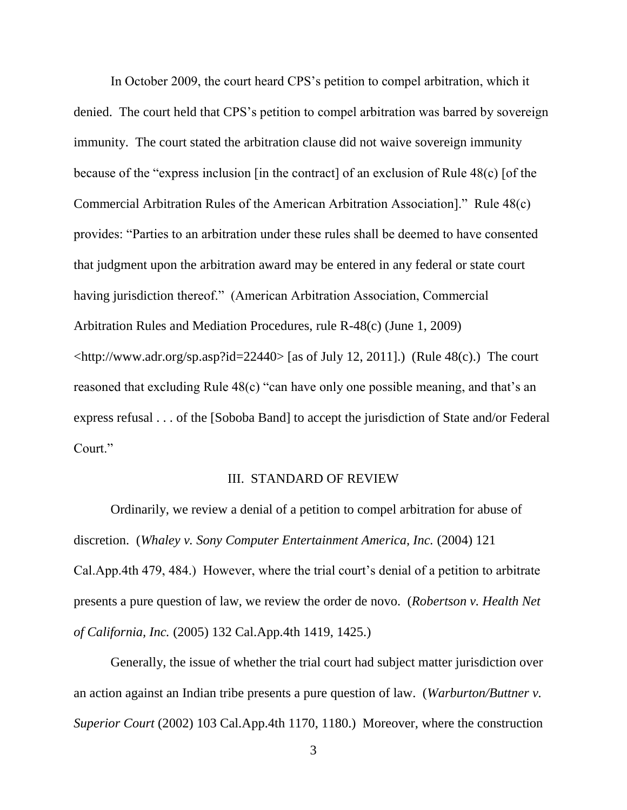In October 2009, the court heard CPS"s petition to compel arbitration, which it denied. The court held that CPS's petition to compel arbitration was barred by sovereign immunity. The court stated the arbitration clause did not waive sovereign immunity because of the "express inclusion [in the contract] of an exclusion of Rule 48(c) [of the Commercial Arbitration Rules of the American Arbitration Association]." Rule 48(c) provides: "Parties to an arbitration under these rules shall be deemed to have consented that judgment upon the arbitration award may be entered in any federal or state court having jurisdiction thereof." (American Arbitration Association, Commercial Arbitration Rules and Mediation Procedures, rule R-48(c) (June 1, 2009)  $\langle \text{http://www.adr.org/sp.asp?id=22440>}[as of July 12, 2011]$ .) (Rule 48(c).) The court reasoned that excluding Rule 48(c) "can have only one possible meaning, and that's an express refusal . . . of the [Soboba Band] to accept the jurisdiction of State and/or Federal Court."

## III. STANDARD OF REVIEW

Ordinarily, we review a denial of a petition to compel arbitration for abuse of discretion. (*Whaley v. Sony Computer Entertainment America, Inc.* (2004) 121 Cal.App.4th 479, 484.) However, where the trial court's denial of a petition to arbitrate presents a pure question of law, we review the order de novo. (*Robertson v. Health Net of California, Inc.* (2005) 132 Cal.App.4th 1419, 1425.)

Generally, the issue of whether the trial court had subject matter jurisdiction over an action against an Indian tribe presents a pure question of law. (*Warburton/Buttner v. Superior Court* (2002) 103 Cal.App.4th 1170, 1180.) Moreover, where the construction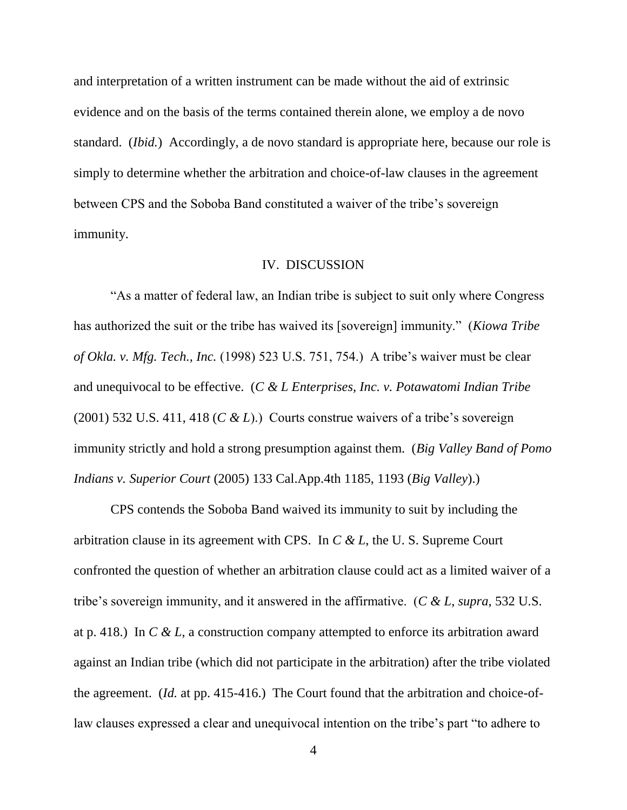and interpretation of a written instrument can be made without the aid of extrinsic evidence and on the basis of the terms contained therein alone, we employ a de novo standard. (*Ibid.*) Accordingly, a de novo standard is appropriate here, because our role is simply to determine whether the arbitration and choice-of-law clauses in the agreement between CPS and the Soboba Band constituted a waiver of the tribe's sovereign immunity.

#### IV. DISCUSSION

"As a matter of federal law, an Indian tribe is subject to suit only where Congress has authorized the suit or the tribe has waived its [sovereign] immunity." (*Kiowa Tribe of Okla. v. Mfg. Tech., Inc.* (1998) 523 U.S. 751, 754.) A tribe"s waiver must be clear and unequivocal to be effective. (*C & L Enterprises, Inc. v. Potawatomi Indian Tribe*  (2001) 532 U.S. 411, 418 ( $C \& L$ ).) Courts construe waivers of a tribe's sovereign immunity strictly and hold a strong presumption against them. (*Big Valley Band of Pomo Indians v. Superior Court* (2005) 133 Cal.App.4th 1185, 1193 (*Big Valley*).)

CPS contends the Soboba Band waived its immunity to suit by including the arbitration clause in its agreement with CPS. In *C & L*, the U. S. Supreme Court confronted the question of whether an arbitration clause could act as a limited waiver of a tribe"s sovereign immunity, and it answered in the affirmative. (*C & L*, *supra*, 532 U.S. at p. 418.) In *C & L*, a construction company attempted to enforce its arbitration award against an Indian tribe (which did not participate in the arbitration) after the tribe violated the agreement. (*Id.* at pp. 415-416.) The Court found that the arbitration and choice-oflaw clauses expressed a clear and unequivocal intention on the tribe's part "to adhere to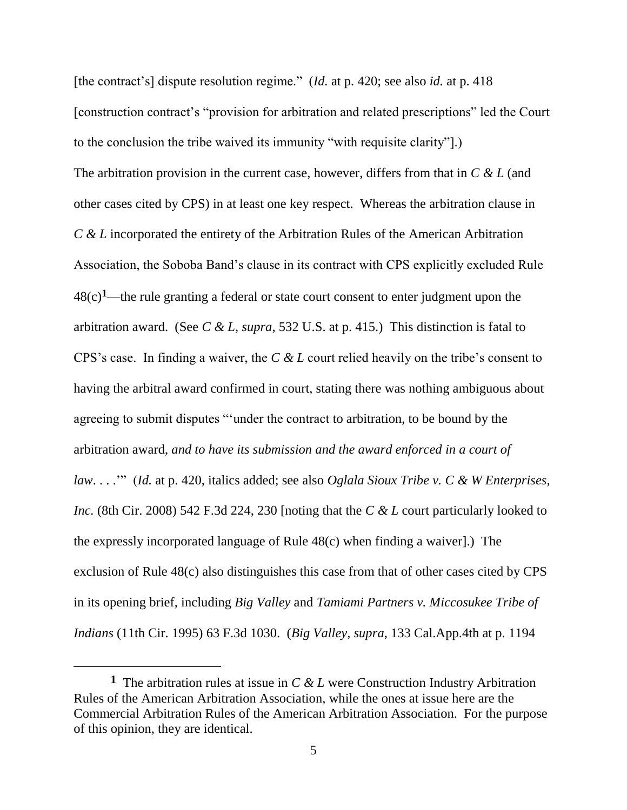[the contract"s] dispute resolution regime." (*Id.* at p. 420; see also *id.* at p. 418 [construction contract"s "provision for arbitration and related prescriptions" led the Court to the conclusion the tribe waived its immunity "with requisite clarity"].) The arbitration provision in the current case, however, differs from that in *C & L* (and other cases cited by CPS) in at least one key respect. Whereas the arbitration clause in *C & L* incorporated the entirety of the Arbitration Rules of the American Arbitration Association, the Soboba Band"s clause in its contract with CPS explicitly excluded Rule 48(c)**1**—the rule granting a federal or state court consent to enter judgment upon the arbitration award. (See *C & L*, *supra*, 532 U.S. at p. 415.) This distinction is fatal to CPS"s case. In finding a waiver, the *C & L* court relied heavily on the tribe"s consent to having the arbitral award confirmed in court, stating there was nothing ambiguous about agreeing to submit disputes ""under the contract to arbitration, to be bound by the arbitration award, *and to have its submission and the award enforced in a court of law*. . . ."" (*Id.* at p. 420, italics added; see also *Oglala Sioux Tribe v. C & W Enterprises, Inc.* (8th Cir. 2008) 542 F.3d 224, 230 [noting that the *C & L* court particularly looked to the expressly incorporated language of Rule 48(c) when finding a waiver].) The exclusion of Rule 48(c) also distinguishes this case from that of other cases cited by CPS in its opening brief, including *Big Valley* and *Tamiami Partners v. Miccosukee Tribe of Indians* (11th Cir. 1995) 63 F.3d 1030. (*Big Valley*, *supra*, 133 Cal.App.4th at p. 1194

**<sup>1</sup>** The arbitration rules at issue in *C & L* were Construction Industry Arbitration Rules of the American Arbitration Association, while the ones at issue here are the Commercial Arbitration Rules of the American Arbitration Association. For the purpose of this opinion, they are identical.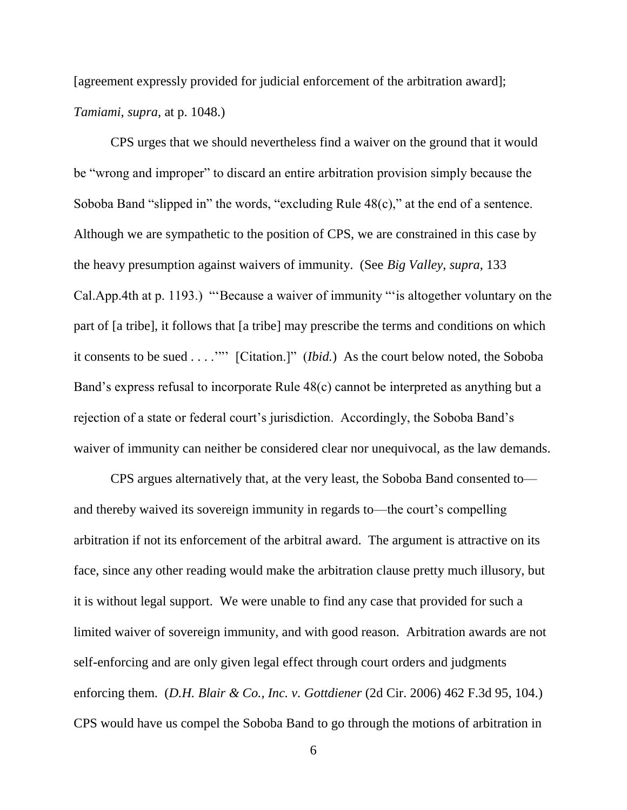[agreement expressly provided for judicial enforcement of the arbitration award]; *Tamiami*, *supra*, at p. 1048.)

CPS urges that we should nevertheless find a waiver on the ground that it would be "wrong and improper" to discard an entire arbitration provision simply because the Soboba Band "slipped in" the words, "excluding Rule 48(c)," at the end of a sentence. Although we are sympathetic to the position of CPS, we are constrained in this case by the heavy presumption against waivers of immunity. (See *Big Valley*, *supra*, 133 Cal.App.4th at p. 1193.) ""Because a waiver of immunity ""is altogether voluntary on the part of [a tribe], it follows that [a tribe] may prescribe the terms and conditions on which it consents to be sued . . . .""" [Citation.]" (*Ibid.*) As the court below noted, the Soboba Band's express refusal to incorporate Rule 48(c) cannot be interpreted as anything but a rejection of a state or federal court's jurisdiction. Accordingly, the Soboba Band's waiver of immunity can neither be considered clear nor unequivocal, as the law demands.

CPS argues alternatively that, at the very least, the Soboba Band consented to and thereby waived its sovereign immunity in regards to—the court's compelling arbitration if not its enforcement of the arbitral award. The argument is attractive on its face, since any other reading would make the arbitration clause pretty much illusory, but it is without legal support. We were unable to find any case that provided for such a limited waiver of sovereign immunity, and with good reason. Arbitration awards are not self-enforcing and are only given legal effect through court orders and judgments enforcing them. (*D.H. Blair & Co., Inc. v. Gottdiener* (2d Cir. 2006) 462 F.3d 95, 104.) CPS would have us compel the Soboba Band to go through the motions of arbitration in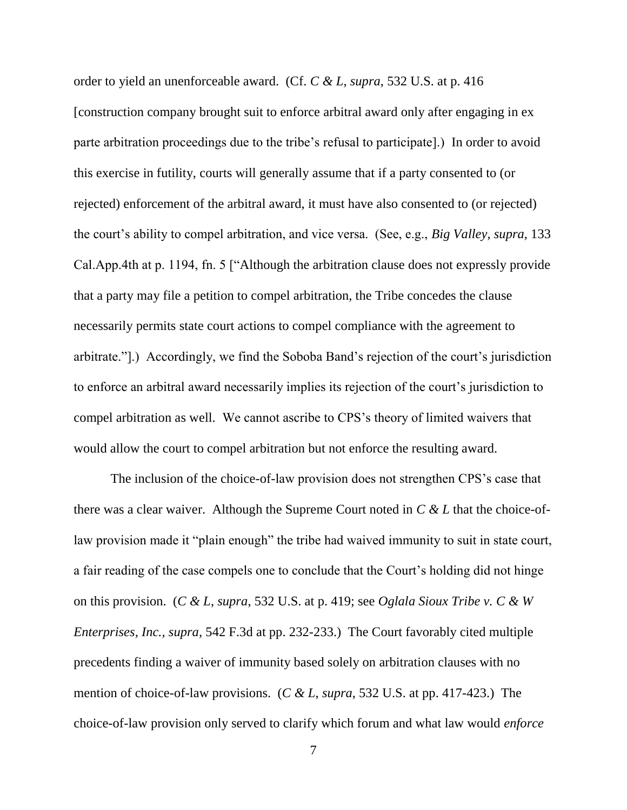order to yield an unenforceable award. (Cf. *C & L*, *supra*, 532 U.S. at p. 416 [construction company brought suit to enforce arbitral award only after engaging in ex parte arbitration proceedings due to the tribe's refusal to participate].) In order to avoid this exercise in futility, courts will generally assume that if a party consented to (or rejected) enforcement of the arbitral award, it must have also consented to (or rejected) the court's ability to compel arbitration, and vice versa. (See, e.g., *Big Valley*, *supra*, 133 Cal.App.4th at p. 1194, fn. 5 ["Although the arbitration clause does not expressly provide that a party may file a petition to compel arbitration, the Tribe concedes the clause necessarily permits state court actions to compel compliance with the agreement to arbitrate."].) Accordingly, we find the Soboba Band"s rejection of the court"s jurisdiction to enforce an arbitral award necessarily implies its rejection of the court"s jurisdiction to compel arbitration as well. We cannot ascribe to CPS"s theory of limited waivers that would allow the court to compel arbitration but not enforce the resulting award.

The inclusion of the choice-of-law provision does not strengthen CPS"s case that there was a clear waiver. Although the Supreme Court noted in *C & L* that the choice-oflaw provision made it "plain enough" the tribe had waived immunity to suit in state court, a fair reading of the case compels one to conclude that the Court's holding did not hinge on this provision. (*C & L*, *supra*, 532 U.S. at p. 419; see *Oglala Sioux Tribe v. C & W Enterprises, Inc., supra*, 542 F.3d at pp. 232-233.) The Court favorably cited multiple precedents finding a waiver of immunity based solely on arbitration clauses with no mention of choice-of-law provisions. (*C & L*, *supra*, 532 U.S. at pp. 417-423.) The choice-of-law provision only served to clarify which forum and what law would *enforce*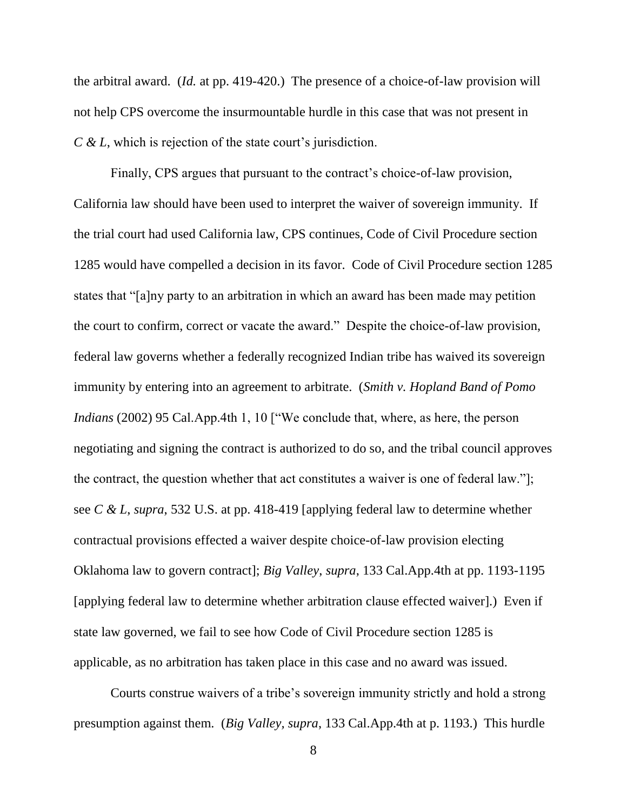the arbitral award. (*Id.* at pp. 419-420.) The presence of a choice-of-law provision will not help CPS overcome the insurmountable hurdle in this case that was not present in *C* & *L*, which is rejection of the state court's jurisdiction.

Finally, CPS argues that pursuant to the contract's choice-of-law provision, California law should have been used to interpret the waiver of sovereign immunity. If the trial court had used California law, CPS continues, Code of Civil Procedure section 1285 would have compelled a decision in its favor. Code of Civil Procedure section 1285 states that "[a]ny party to an arbitration in which an award has been made may petition the court to confirm, correct or vacate the award." Despite the choice-of-law provision, federal law governs whether a federally recognized Indian tribe has waived its sovereign immunity by entering into an agreement to arbitrate. (*Smith v. Hopland Band of Pomo Indians* (2002) 95 Cal.App.4th 1, 10 ["We conclude that, where, as here, the person negotiating and signing the contract is authorized to do so, and the tribal council approves the contract, the question whether that act constitutes a waiver is one of federal law."]; see *C & L*, *supra*, 532 U.S. at pp. 418-419 [applying federal law to determine whether contractual provisions effected a waiver despite choice-of-law provision electing Oklahoma law to govern contract]; *Big Valley*, *supra*, 133 Cal.App.4th at pp. 1193-1195 [applying federal law to determine whether arbitration clause effected waiver].) Even if state law governed, we fail to see how Code of Civil Procedure section 1285 is applicable, as no arbitration has taken place in this case and no award was issued.

Courts construe waivers of a tribe"s sovereign immunity strictly and hold a strong presumption against them. (*Big Valley, supra*, 133 Cal.App.4th at p. 1193.) This hurdle